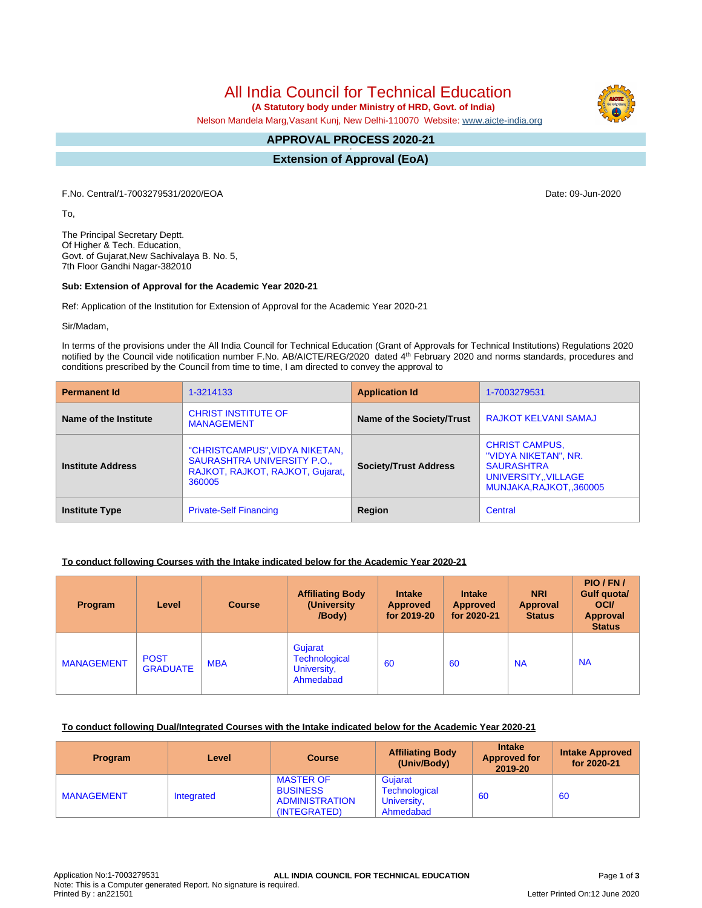All India Council for Technical Education

 **(A Statutory body under Ministry of HRD, Govt. of India)**

Nelson Mandela Marg,Vasant Kunj, New Delhi-110070 Website: [www.aicte-india.org](http://www.aicte-india.org)

#### **APPROVAL PROCESS 2020-21 -**

**Extension of Approval (EoA)**

F.No. Central/1-7003279531/2020/EOA Date: 09-Jun-2020

To,

The Principal Secretary Deptt. Of Higher & Tech. Education, Govt. of Gujarat,New Sachivalaya B. No. 5, 7th Floor Gandhi Nagar-382010

### **Sub: Extension of Approval for the Academic Year 2020-21**

Ref: Application of the Institution for Extension of Approval for the Academic Year 2020-21

Sir/Madam,

In terms of the provisions under the All India Council for Technical Education (Grant of Approvals for Technical Institutions) Regulations 2020 notified by the Council vide notification number F.No. AB/AICTE/REG/2020 dated 4<sup>th</sup> February 2020 and norms standards, procedures and conditions prescribed by the Council from time to time, I am directed to convey the approval to

| <b>Permanent Id</b>      | 1-3214133                                                                                                   | <b>Application Id</b>        | 1-7003279531                                                                                                          |  |
|--------------------------|-------------------------------------------------------------------------------------------------------------|------------------------------|-----------------------------------------------------------------------------------------------------------------------|--|
| Name of the Institute    | <b>CHRIST INSTITUTE OF</b><br><b>MANAGEMENT</b>                                                             | Name of the Society/Trust    | <b>RAJKOT KELVANI SAMAJ</b>                                                                                           |  |
| <b>Institute Address</b> | "CHRISTCAMPUS", VIDYA NIKETAN,<br>SAURASHTRA UNIVERSITY P.O.,<br>RAJKOT, RAJKOT, RAJKOT, Gujarat,<br>360005 | <b>Society/Trust Address</b> | <b>CHRIST CAMPUS,</b><br>"VIDYA NIKETAN", NR.<br><b>SAURASHTRA</b><br>UNIVERSITY,, VILLAGE<br>MUNJAKA, RAJKOT, 360005 |  |
| <b>Institute Type</b>    | <b>Private-Self Financing</b>                                                                               | Region                       | Central                                                                                                               |  |

## **To conduct following Courses with the Intake indicated below for the Academic Year 2020-21**

| <b>Program</b>    | Level                          | <b>Course</b> | <b>Affiliating Body</b><br>(University)<br>/Body)           | <b>Intake</b><br><b>Approved</b><br>for 2019-20 | <b>Intake</b><br><b>Approved</b><br>for 2020-21 | <b>NRI</b><br>Approval<br><b>Status</b> | PIO/FN/<br>Gulf quota/<br><b>OCI</b><br><b>Approval</b><br><b>Status</b> |
|-------------------|--------------------------------|---------------|-------------------------------------------------------------|-------------------------------------------------|-------------------------------------------------|-----------------------------------------|--------------------------------------------------------------------------|
| <b>MANAGEMENT</b> | <b>POST</b><br><b>GRADUATE</b> | <b>MBA</b>    | Gujarat<br><b>Technological</b><br>University,<br>Ahmedabad | 60                                              | 60                                              | <b>NA</b>                               | <b>NA</b>                                                                |

#### **To conduct following Dual/Integrated Courses with the Intake indicated below for the Academic Year 2020-21**

| <b>Program</b>    | Level      | <b>Course</b>                                                                | <b>Affiliating Body</b><br>(Univ/Body)               | <b>Intake</b><br><b>Approved for</b><br>2019-20 | <b>Intake Approved</b><br>for 2020-21 |
|-------------------|------------|------------------------------------------------------------------------------|------------------------------------------------------|-------------------------------------------------|---------------------------------------|
| <b>MANAGEMENT</b> | Integrated | <b>MASTER OF</b><br><b>BUSINESS</b><br><b>ADMINISTRATION</b><br>(INTEGRATED) | Gujarat<br>Technological<br>University,<br>Ahmedabad | 60                                              | 60                                    |

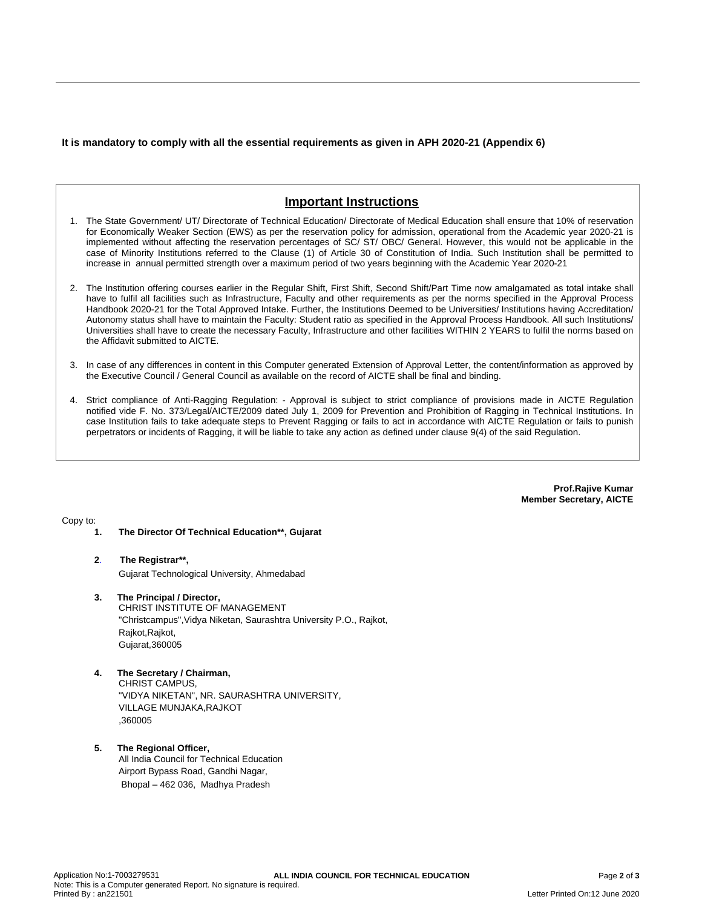**It is mandatory to comply with all the essential requirements as given in APH 2020-21 (Appendix 6)**

# **Important Instructions**

- 1. The State Government/ UT/ Directorate of Technical Education/ Directorate of Medical Education shall ensure that 10% of reservation for Economically Weaker Section (EWS) as per the reservation policy for admission, operational from the Academic year 2020-21 is implemented without affecting the reservation percentages of SC/ ST/ OBC/ General. However, this would not be applicable in the case of Minority Institutions referred to the Clause (1) of Article 30 of Constitution of India. Such Institution shall be permitted to increase in annual permitted strength over a maximum period of two years beginning with the Academic Year 2020-21
- 2. The Institution offering courses earlier in the Regular Shift, First Shift, Second Shift/Part Time now amalgamated as total intake shall have to fulfil all facilities such as Infrastructure, Faculty and other requirements as per the norms specified in the Approval Process Handbook 2020-21 for the Total Approved Intake. Further, the Institutions Deemed to be Universities/ Institutions having Accreditation/ Autonomy status shall have to maintain the Faculty: Student ratio as specified in the Approval Process Handbook. All such Institutions/ Universities shall have to create the necessary Faculty, Infrastructure and other facilities WITHIN 2 YEARS to fulfil the norms based on the Affidavit submitted to AICTE.
- 3. In case of any differences in content in this Computer generated Extension of Approval Letter, the content/information as approved by the Executive Council / General Council as available on the record of AICTE shall be final and binding.
- 4. Strict compliance of Anti-Ragging Regulation: Approval is subject to strict compliance of provisions made in AICTE Regulation notified vide F. No. 373/Legal/AICTE/2009 dated July 1, 2009 for Prevention and Prohibition of Ragging in Technical Institutions. In case Institution fails to take adequate steps to Prevent Ragging or fails to act in accordance with AICTE Regulation or fails to punish perpetrators or incidents of Ragging, it will be liable to take any action as defined under clause 9(4) of the said Regulation.

**Prof.Rajive Kumar Member Secretary, AICTE**

Copy to:

- **1. The Director Of Technical Education\*\*, Gujarat**
- **2**. **The Registrar\*\*,** Gujarat Technological University, Ahmedabad
- **3. The Principal / Director,** CHRIST INSTITUTE OF MANAGEMENT "Christcampus",Vidya Niketan, Saurashtra University P.O., Rajkot, Rajkot, Rajkot, Gujarat,360005
- **4. The Secretary / Chairman,** CHRIST CAMPUS, "VIDYA NIKETAN", NR. SAURASHTRA UNIVERSITY, VILLAGE MUNJAKA,RAJKOT ,360005
- **5. The Regional Officer,** All India Council for Technical Education Airport Bypass Road, Gandhi Nagar, Bhopal – 462 036, Madhya Pradesh